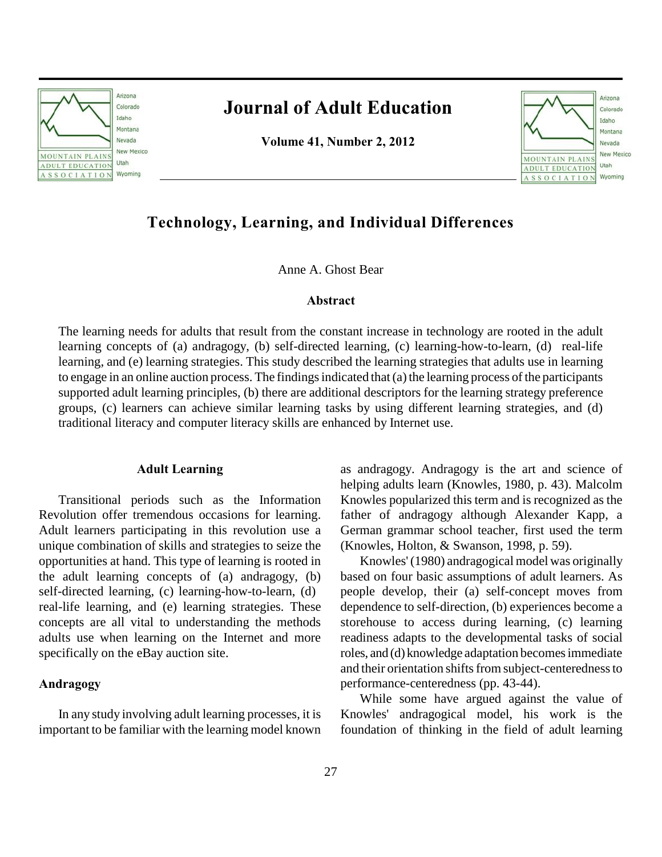

# **Journal of Adult Education**

**Volume 41, Number 2, 2012**



## **Technology, Learning, and Individual Differences**

Anne A. Ghost Bear

#### **Abstract**

The learning needs for adults that result from the constant increase in technology are rooted in the adult learning concepts of (a) andragogy, (b) self-directed learning, (c) learning-how-to-learn, (d) real-life learning, and (e) learning strategies. This study described the learning strategies that adults use in learning to engage in an online auction process. The findings indicated that (a) the learning process of the participants supported adult learning principles, (b) there are additional descriptors for the learning strategy preference groups, (c) learners can achieve similar learning tasks by using different learning strategies, and (d) traditional literacy and computer literacy skills are enhanced by Internet use.

## **Adult Learning**

Transitional periods such as the Information Revolution offer tremendous occasions for learning. Adult learners participating in this revolution use a unique combination of skills and strategies to seize the opportunities at hand. This type of learning is rooted in the adult learning concepts of (a) andragogy, (b) self-directed learning, (c) learning-how-to-learn, (d) real-life learning, and (e) learning strategies. These concepts are all vital to understanding the methods adults use when learning on the Internet and more specifically on the eBay auction site.

## **Andragogy**

In any study involving adult learning processes, it is important to be familiar with the learning model known as andragogy. Andragogy is the art and science of helping adults learn (Knowles, 1980, p. 43). Malcolm Knowles popularized this term and is recognized as the father of andragogy although Alexander Kapp, a German grammar school teacher, first used the term (Knowles, Holton, & Swanson, 1998, p. 59).

Knowles' (1980) andragogical model was originally based on four basic assumptions of adult learners. As people develop, their (a) self-concept moves from dependence to self-direction, (b) experiences become a storehouse to access during learning, (c) learning readiness adapts to the developmental tasks of social roles, and (d) knowledge adaptation becomes immediate and their orientation shifts from subject-centeredness to performance-centeredness (pp. 43-44).

While some have argued against the value of Knowles' andragogical model, his work is the foundation of thinking in the field of adult learning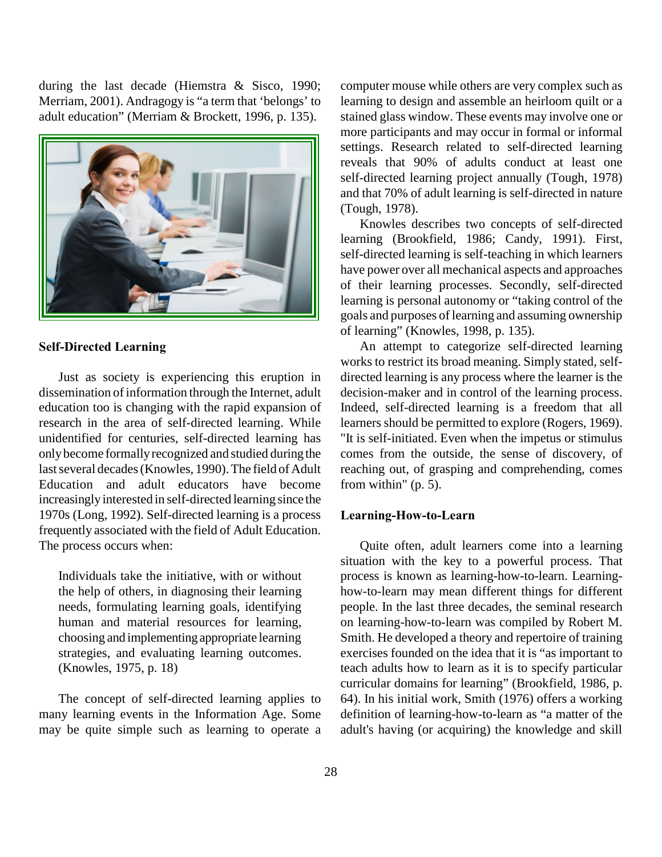during the last decade (Hiemstra & Sisco, 1990; Merriam, 2001). Andragogy is "a term that 'belongs' to adult education" (Merriam & Brockett, 1996, p. 135).



## **Self-Directed Learning**

Just as society is experiencing this eruption in dissemination of information through the Internet, adult education too is changing with the rapid expansion of research in the area of self-directed learning. While unidentified for centuries, self-directed learning has only become formally recognized and studied during the last several decades (Knowles, 1990). The field of Adult Education and adult educators have become increasingly interested in self-directed learning since the 1970s (Long, 1992). Self-directed learning is a process frequently associated with the field of Adult Education. The process occurs when:

Individuals take the initiative, with or without the help of others, in diagnosing their learning needs, formulating learning goals, identifying human and material resources for learning, choosing and implementing appropriate learning strategies, and evaluating learning outcomes. (Knowles, 1975, p. 18)

The concept of self-directed learning applies to many learning events in the Information Age. Some may be quite simple such as learning to operate a computer mouse while others are very complex such as learning to design and assemble an heirloom quilt or a stained glass window. These events may involve one or more participants and may occur in formal or informal settings. Research related to self-directed learning reveals that 90% of adults conduct at least one self-directed learning project annually (Tough, 1978) and that 70% of adult learning is self-directed in nature (Tough, 1978).

Knowles describes two concepts of self-directed learning (Brookfield, 1986; Candy, 1991). First, self-directed learning is self-teaching in which learners have power over all mechanical aspects and approaches of their learning processes. Secondly, self-directed learning is personal autonomy or "taking control of the goals and purposes of learning and assuming ownership of learning" (Knowles, 1998, p. 135).

An attempt to categorize self-directed learning works to restrict its broad meaning. Simply stated, selfdirected learning is any process where the learner is the decision-maker and in control of the learning process. Indeed, self-directed learning is a freedom that all learners should be permitted to explore (Rogers, 1969). "It is self-initiated. Even when the impetus or stimulus comes from the outside, the sense of discovery, of reaching out, of grasping and comprehending, comes from within" (p. 5).

#### **Learning-How-to-Learn**

Quite often, adult learners come into a learning situation with the key to a powerful process. That process is known as learning-how-to-learn. Learninghow-to-learn may mean different things for different people. In the last three decades, the seminal research on learning-how-to-learn was compiled by Robert M. Smith. He developed a theory and repertoire of training exercises founded on the idea that it is "as important to teach adults how to learn as it is to specify particular curricular domains for learning" (Brookfield, 1986, p. 64). In his initial work, Smith (1976) offers a working definition of learning-how-to-learn as "a matter of the adult's having (or acquiring) the knowledge and skill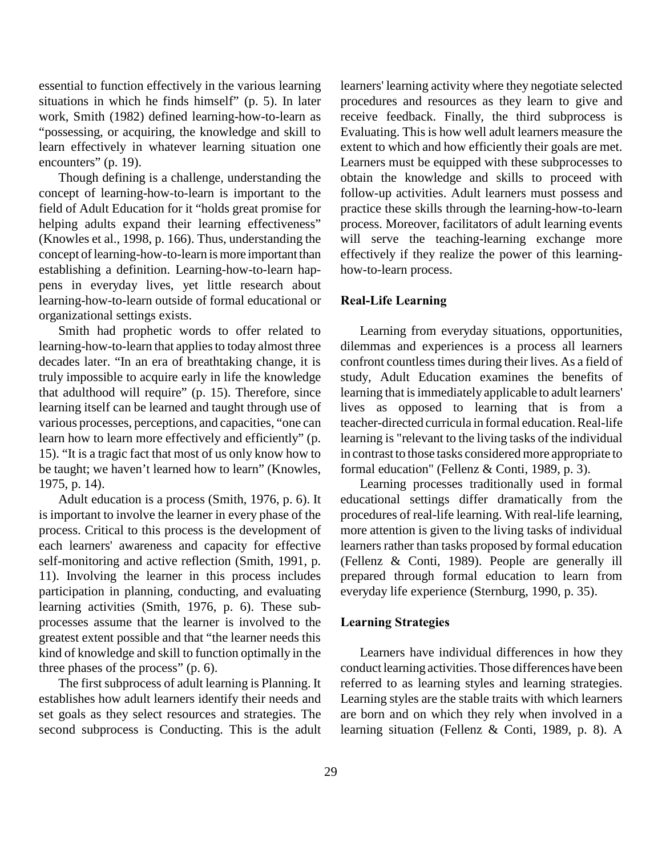essential to function effectively in the various learning situations in which he finds himself" (p. 5). In later work, Smith (1982) defined learning-how-to-learn as "possessing, or acquiring, the knowledge and skill to learn effectively in whatever learning situation one encounters" (p. 19).

Though defining is a challenge, understanding the concept of learning-how-to-learn is important to the field of Adult Education for it "holds great promise for helping adults expand their learning effectiveness" (Knowles et al., 1998, p. 166). Thus, understanding the concept of learning-how-to-learn is more important than establishing a definition. Learning-how-to-learn happens in everyday lives, yet little research about learning-how-to-learn outside of formal educational or organizational settings exists.

Smith had prophetic words to offer related to learning-how-to-learn that applies to today almost three decades later. "In an era of breathtaking change, it is truly impossible to acquire early in life the knowledge that adulthood will require" (p. 15). Therefore, since learning itself can be learned and taught through use of various processes, perceptions, and capacities, "one can learn how to learn more effectively and efficiently" (p. 15). "It is a tragic fact that most of us only know how to be taught; we haven't learned how to learn" (Knowles, 1975, p. 14).

Adult education is a process (Smith, 1976, p. 6). It is important to involve the learner in every phase of the process. Critical to this process is the development of each learners' awareness and capacity for effective self-monitoring and active reflection (Smith, 1991, p. 11). Involving the learner in this process includes participation in planning, conducting, and evaluating learning activities (Smith, 1976, p. 6). These subprocesses assume that the learner is involved to the greatest extent possible and that "the learner needs this kind of knowledge and skill to function optimally in the three phases of the process" (p. 6).

The first subprocess of adult learning is Planning. It establishes how adult learners identify their needs and set goals as they select resources and strategies. The second subprocess is Conducting. This is the adult

learners' learning activity where they negotiate selected procedures and resources as they learn to give and receive feedback. Finally, the third subprocess is Evaluating. This is how well adult learners measure the extent to which and how efficiently their goals are met. Learners must be equipped with these subprocesses to obtain the knowledge and skills to proceed with follow-up activities. Adult learners must possess and practice these skills through the learning-how-to-learn process. Moreover, facilitators of adult learning events will serve the teaching-learning exchange more effectively if they realize the power of this learninghow-to-learn process.

## **Real-Life Learning**

Learning from everyday situations, opportunities, dilemmas and experiences is a process all learners confront countless times during their lives. As a field of study, Adult Education examines the benefits of learning that is immediately applicable to adult learners' lives as opposed to learning that is from a teacher-directed curricula in formal education. Real-life learning is "relevant to the living tasks of the individual in contrast to those tasks considered more appropriate to formal education" (Fellenz & Conti, 1989, p. 3).

Learning processes traditionally used in formal educational settings differ dramatically from the procedures of real-life learning. With real-life learning, more attention is given to the living tasks of individual learners rather than tasks proposed by formal education (Fellenz & Conti, 1989). People are generally ill prepared through formal education to learn from everyday life experience (Sternburg, 1990, p. 35).

#### **Learning Strategies**

Learners have individual differences in how they conduct learning activities. Those differences have been referred to as learning styles and learning strategies. Learning styles are the stable traits with which learners are born and on which they rely when involved in a learning situation (Fellenz & Conti, 1989, p. 8). A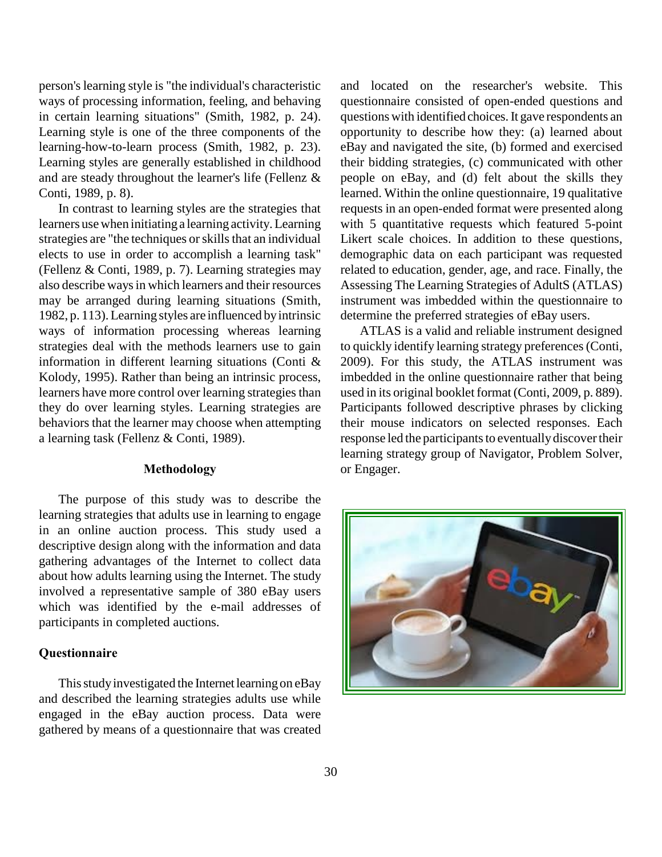person's learning style is "the individual's characteristic ways of processing information, feeling, and behaving in certain learning situations" (Smith, 1982, p. 24). Learning style is one of the three components of the learning-how-to-learn process (Smith, 1982, p. 23). Learning styles are generally established in childhood and are steady throughout the learner's life (Fellenz & Conti, 1989, p. 8).

In contrast to learning styles are the strategies that learners use when initiating a learning activity. Learning strategies are "the techniques or skills that an individual elects to use in order to accomplish a learning task" (Fellenz & Conti, 1989, p. 7). Learning strategies may also describe ways in which learners and their resources may be arranged during learning situations (Smith, 1982, p. 113). Learning styles are influenced by intrinsic ways of information processing whereas learning strategies deal with the methods learners use to gain information in different learning situations (Conti & Kolody, 1995). Rather than being an intrinsic process, learners have more control over learning strategies than they do over learning styles. Learning strategies are behaviors that the learner may choose when attempting a learning task (Fellenz & Conti, 1989).

## **Methodology**

The purpose of this study was to describe the learning strategies that adults use in learning to engage in an online auction process. This study used a descriptive design along with the information and data gathering advantages of the Internet to collect data about how adults learning using the Internet. The study involved a representative sample of 380 eBay users which was identified by the e-mail addresses of participants in completed auctions.

#### **Questionnaire**

This study investigated the Internet learning on eBay and described the learning strategies adults use while engaged in the eBay auction process. Data were gathered by means of a questionnaire that was created and located on the researcher's website. This questionnaire consisted of open-ended questions and questions with identified choices. It gave respondents an opportunity to describe how they: (a) learned about eBay and navigated the site, (b) formed and exercised their bidding strategies, (c) communicated with other people on eBay, and (d) felt about the skills they learned. Within the online questionnaire, 19 qualitative requests in an open-ended format were presented along with 5 quantitative requests which featured 5-point Likert scale choices. In addition to these questions, demographic data on each participant was requested related to education, gender, age, and race. Finally, the Assessing The Learning Strategies of AdultS (ATLAS) instrument was imbedded within the questionnaire to determine the preferred strategies of eBay users.

ATLAS is a valid and reliable instrument designed to quickly identify learning strategy preferences (Conti, 2009). For this study, the ATLAS instrument was imbedded in the online questionnaire rather that being used in its original booklet format (Conti, 2009, p. 889). Participants followed descriptive phrases by clicking their mouse indicators on selected responses. Each response led the participants to eventually discover their learning strategy group of Navigator, Problem Solver, or Engager.

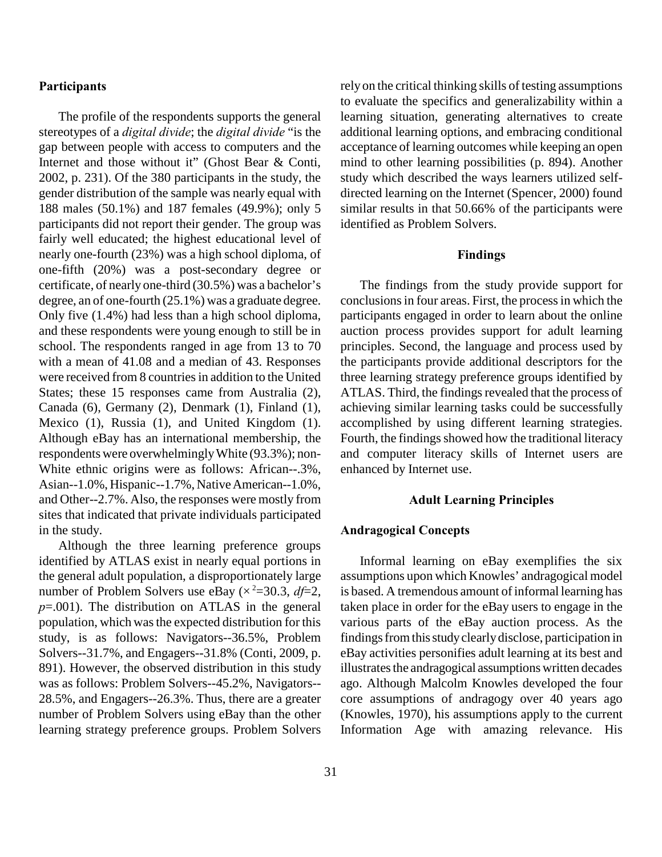## **Participants**

The profile of the respondents supports the general stereotypes of a *digital divide*; the *digital divide* "is the gap between people with access to computers and the Internet and those without it" (Ghost Bear & Conti, 2002, p. 231). Of the 380 participants in the study, the gender distribution of the sample was nearly equal with 188 males (50.1%) and 187 females (49.9%); only 5 participants did not report their gender. The group was fairly well educated; the highest educational level of nearly one-fourth (23%) was a high school diploma, of one-fifth (20%) was a post-secondary degree or certificate, of nearly one-third (30.5%) was a bachelor's degree, an of one-fourth (25.1%) was a graduate degree. Only five (1.4%) had less than a high school diploma, and these respondents were young enough to still be in school. The respondents ranged in age from 13 to 70 with a mean of 41.08 and a median of 43. Responses were received from 8 countries in addition to the United States; these 15 responses came from Australia (2), Canada (6), Germany (2), Denmark (1), Finland (1), Mexico (1), Russia (1), and United Kingdom (1). Although eBay has an international membership, the respondents were overwhelmingly White (93.3%); non-White ethnic origins were as follows: African--.3%, Asian--1.0%, Hispanic--1.7%, Native American--1.0%, and Other--2.7%. Also, the responses were mostly from sites that indicated that private individuals participated in the study.

Although the three learning preference groups identified by ATLAS exist in nearly equal portions in the general adult population, a disproportionately large number of Problem Solvers use eBay ( $\times^2$ =30.3, *df*=2, *p*=.001). The distribution on ATLAS in the general population, which was the expected distribution for this study, is as follows: Navigators--36.5%, Problem Solvers--31.7%, and Engagers--31.8% (Conti, 2009, p. 891). However, the observed distribution in this study was as follows: Problem Solvers--45.2%, Navigators-- 28.5%, and Engagers--26.3%. Thus, there are a greater number of Problem Solvers using eBay than the other learning strategy preference groups. Problem Solvers rely on the critical thinking skills of testing assumptions to evaluate the specifics and generalizability within a learning situation, generating alternatives to create additional learning options, and embracing conditional acceptance of learning outcomes while keeping an open mind to other learning possibilities (p. 894). Another study which described the ways learners utilized selfdirected learning on the Internet (Spencer, 2000) found similar results in that 50.66% of the participants were identified as Problem Solvers.

#### **Findings**

The findings from the study provide support for conclusions in four areas. First, the process in which the participants engaged in order to learn about the online auction process provides support for adult learning principles. Second, the language and process used by the participants provide additional descriptors for the three learning strategy preference groups identified by ATLAS. Third, the findings revealed that the process of achieving similar learning tasks could be successfully accomplished by using different learning strategies. Fourth, the findings showed how the traditional literacy and computer literacy skills of Internet users are enhanced by Internet use.

## **Adult Learning Principles**

## **Andragogical Concepts**

Informal learning on eBay exemplifies the six assumptions upon which Knowles' andragogical model is based. A tremendous amount of informal learning has taken place in order for the eBay users to engage in the various parts of the eBay auction process. As the findings from this study clearly disclose, participation in eBay activities personifies adult learning at its best and illustrates the andragogical assumptions written decades ago. Although Malcolm Knowles developed the four core assumptions of andragogy over 40 years ago (Knowles, 1970), his assumptions apply to the current Information Age with amazing relevance. His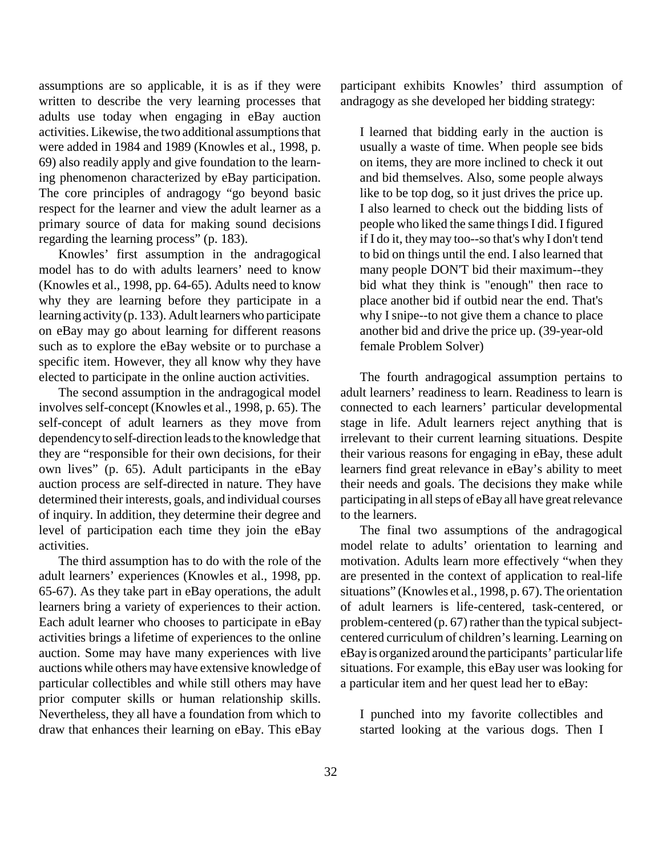assumptions are so applicable, it is as if they were written to describe the very learning processes that adults use today when engaging in eBay auction activities. Likewise, the two additional assumptions that were added in 1984 and 1989 (Knowles et al., 1998, p. 69) also readily apply and give foundation to the learning phenomenon characterized by eBay participation. The core principles of andragogy "go beyond basic respect for the learner and view the adult learner as a primary source of data for making sound decisions regarding the learning process" (p. 183).

Knowles' first assumption in the andragogical model has to do with adults learners' need to know (Knowles et al., 1998, pp. 64-65). Adults need to know why they are learning before they participate in a learning activity (p. 133). Adult learners who participate on eBay may go about learning for different reasons such as to explore the eBay website or to purchase a specific item. However, they all know why they have elected to participate in the online auction activities.

The second assumption in the andragogical model involves self-concept (Knowles et al., 1998, p. 65). The self-concept of adult learners as they move from dependency to self-direction leads to the knowledge that they are "responsible for their own decisions, for their own lives" (p. 65). Adult participants in the eBay auction process are self-directed in nature. They have determined their interests, goals, and individual courses of inquiry. In addition, they determine their degree and level of participation each time they join the eBay activities.

The third assumption has to do with the role of the adult learners' experiences (Knowles et al., 1998, pp. 65-67). As they take part in eBay operations, the adult learners bring a variety of experiences to their action. Each adult learner who chooses to participate in eBay activities brings a lifetime of experiences to the online auction. Some may have many experiences with live auctions while others may have extensive knowledge of particular collectibles and while still others may have prior computer skills or human relationship skills. Nevertheless, they all have a foundation from which to draw that enhances their learning on eBay. This eBay participant exhibits Knowles' third assumption of andragogy as she developed her bidding strategy:

I learned that bidding early in the auction is usually a waste of time. When people see bids on items, they are more inclined to check it out and bid themselves. Also, some people always like to be top dog, so it just drives the price up. I also learned to check out the bidding lists of people who liked the same things I did. I figured if I do it, they may too--so that's why I don't tend to bid on things until the end. I also learned that many people DON'T bid their maximum--they bid what they think is "enough" then race to place another bid if outbid near the end. That's why I snipe--to not give them a chance to place another bid and drive the price up. (39-year-old female Problem Solver)

The fourth andragogical assumption pertains to adult learners' readiness to learn. Readiness to learn is connected to each learners' particular developmental stage in life. Adult learners reject anything that is irrelevant to their current learning situations. Despite their various reasons for engaging in eBay, these adult learners find great relevance in eBay's ability to meet their needs and goals. The decisions they make while participating in all steps of eBay all have great relevance to the learners.

The final two assumptions of the andragogical model relate to adults' orientation to learning and motivation. Adults learn more effectively "when they are presented in the context of application to real-life situations" (Knowles et al., 1998, p. 67). The orientation of adult learners is life-centered, task-centered, or problem-centered (p. 67) rather than the typical subjectcentered curriculum of children's learning. Learning on eBay is organized around the participants' particular life situations. For example, this eBay user was looking for a particular item and her quest lead her to eBay:

I punched into my favorite collectibles and started looking at the various dogs. Then I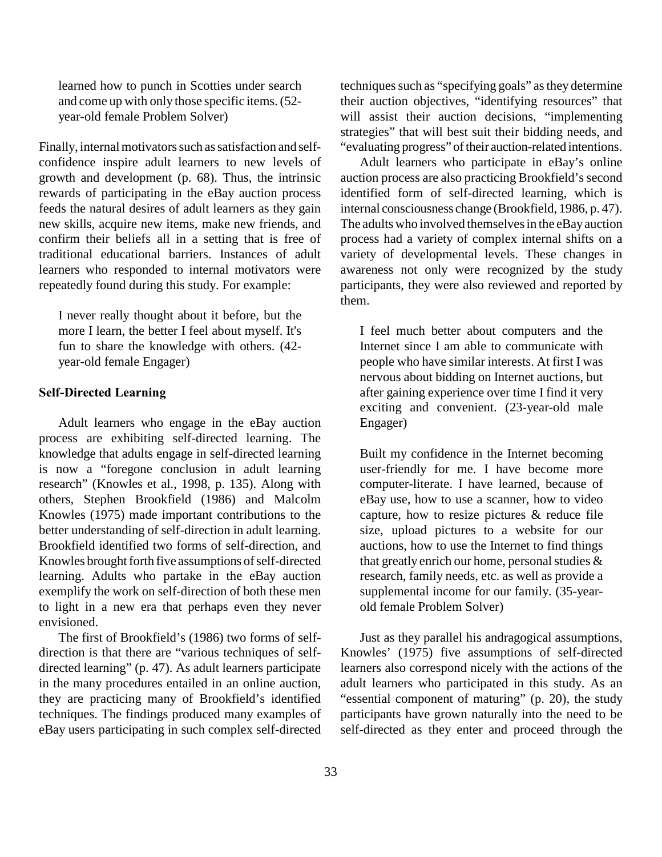learned how to punch in Scotties under search and come up with only those specific items. (52 year-old female Problem Solver)

Finally, internal motivators such as satisfaction and selfconfidence inspire adult learners to new levels of growth and development (p. 68). Thus, the intrinsic rewards of participating in the eBay auction process feeds the natural desires of adult learners as they gain new skills, acquire new items, make new friends, and confirm their beliefs all in a setting that is free of traditional educational barriers. Instances of adult learners who responded to internal motivators were repeatedly found during this study. For example:

I never really thought about it before, but the more I learn, the better I feel about myself. It's fun to share the knowledge with others. (42 year-old female Engager)

## **Self-Directed Learning**

Adult learners who engage in the eBay auction process are exhibiting self-directed learning. The knowledge that adults engage in self-directed learning is now a "foregone conclusion in adult learning research" (Knowles et al., 1998, p. 135). Along with others, Stephen Brookfield (1986) and Malcolm Knowles (1975) made important contributions to the better understanding of self-direction in adult learning. Brookfield identified two forms of self-direction, and Knowles brought forth five assumptions of self-directed learning. Adults who partake in the eBay auction exemplify the work on self-direction of both these men to light in a new era that perhaps even they never envisioned.

The first of Brookfield's (1986) two forms of selfdirection is that there are "various techniques of selfdirected learning" (p. 47). As adult learners participate in the many procedures entailed in an online auction, they are practicing many of Brookfield's identified techniques. The findings produced many examples of eBay users participating in such complex self-directed techniques such as "specifying goals" as they determine their auction objectives, "identifying resources" that will assist their auction decisions, "implementing strategies" that will best suit their bidding needs, and "evaluating progress" of their auction-related intentions.

Adult learners who participate in eBay's online auction process are also practicing Brookfield's second identified form of self-directed learning, which is internal consciousness change (Brookfield, 1986, p. 47). The adults who involved themselves in the eBay auction process had a variety of complex internal shifts on a variety of developmental levels. These changes in awareness not only were recognized by the study participants, they were also reviewed and reported by them.

I feel much better about computers and the Internet since I am able to communicate with people who have similar interests. At first I was nervous about bidding on Internet auctions, but after gaining experience over time I find it very exciting and convenient. (23-year-old male Engager)

Built my confidence in the Internet becoming user-friendly for me. I have become more computer-literate. I have learned, because of eBay use, how to use a scanner, how to video capture, how to resize pictures & reduce file size, upload pictures to a website for our auctions, how to use the Internet to find things that greatly enrich our home, personal studies & research, family needs, etc. as well as provide a supplemental income for our family. (35-yearold female Problem Solver)

Just as they parallel his andragogical assumptions, Knowles' (1975) five assumptions of self-directed learners also correspond nicely with the actions of the adult learners who participated in this study. As an "essential component of maturing" (p. 20), the study participants have grown naturally into the need to be self-directed as they enter and proceed through the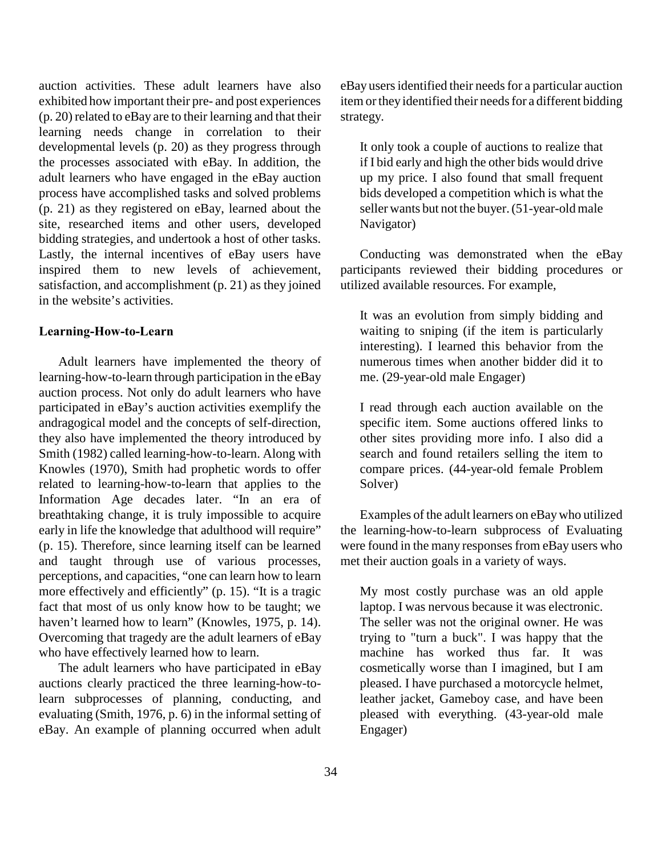auction activities. These adult learners have also exhibited how important their pre- and post experiences (p. 20) related to eBay are to their learning and that their learning needs change in correlation to their developmental levels (p. 20) as they progress through the processes associated with eBay. In addition, the adult learners who have engaged in the eBay auction process have accomplished tasks and solved problems (p. 21) as they registered on eBay, learned about the site, researched items and other users, developed bidding strategies, and undertook a host of other tasks. Lastly, the internal incentives of eBay users have inspired them to new levels of achievement, satisfaction, and accomplishment (p. 21) as they joined in the website's activities.

#### **Learning-How-to-Learn**

Adult learners have implemented the theory of learning-how-to-learn through participation in the eBay auction process. Not only do adult learners who have participated in eBay's auction activities exemplify the andragogical model and the concepts of self-direction, they also have implemented the theory introduced by Smith (1982) called learning-how-to-learn. Along with Knowles (1970), Smith had prophetic words to offer related to learning-how-to-learn that applies to the Information Age decades later. "In an era of breathtaking change, it is truly impossible to acquire early in life the knowledge that adulthood will require" (p. 15). Therefore, since learning itself can be learned and taught through use of various processes, perceptions, and capacities, "one can learn how to learn more effectively and efficiently" (p. 15). "It is a tragic fact that most of us only know how to be taught; we haven't learned how to learn" (Knowles, 1975, p. 14). Overcoming that tragedy are the adult learners of eBay who have effectively learned how to learn.

The adult learners who have participated in eBay auctions clearly practiced the three learning-how-tolearn subprocesses of planning, conducting, and evaluating (Smith, 1976, p. 6) in the informal setting of eBay. An example of planning occurred when adult eBay users identified their needs for a particular auction item or they identified their needs for a different bidding strategy.

It only took a couple of auctions to realize that if I bid early and high the other bids would drive up my price. I also found that small frequent bids developed a competition which is what the seller wants but not the buyer. (51-year-old male Navigator)

Conducting was demonstrated when the eBay participants reviewed their bidding procedures or utilized available resources. For example,

It was an evolution from simply bidding and waiting to sniping (if the item is particularly interesting). I learned this behavior from the numerous times when another bidder did it to me. (29-year-old male Engager)

I read through each auction available on the specific item. Some auctions offered links to other sites providing more info. I also did a search and found retailers selling the item to compare prices. (44-year-old female Problem Solver)

Examples of the adult learners on eBay who utilized the learning-how-to-learn subprocess of Evaluating were found in the many responses from eBay users who met their auction goals in a variety of ways.

My most costly purchase was an old apple laptop. I was nervous because it was electronic. The seller was not the original owner. He was trying to "turn a buck". I was happy that the machine has worked thus far. It was cosmetically worse than I imagined, but I am pleased. I have purchased a motorcycle helmet, leather jacket, Gameboy case, and have been pleased with everything. (43-year-old male Engager)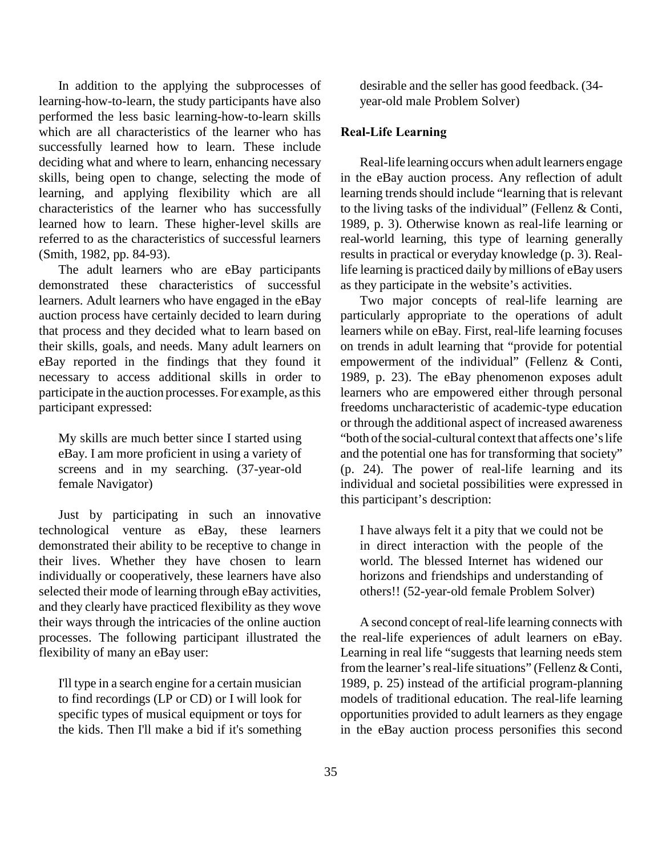In addition to the applying the subprocesses of learning-how-to-learn, the study participants have also performed the less basic learning-how-to-learn skills which are all characteristics of the learner who has successfully learned how to learn. These include deciding what and where to learn, enhancing necessary skills, being open to change, selecting the mode of learning, and applying flexibility which are all characteristics of the learner who has successfully learned how to learn. These higher-level skills are referred to as the characteristics of successful learners (Smith, 1982, pp. 84-93).

The adult learners who are eBay participants demonstrated these characteristics of successful learners. Adult learners who have engaged in the eBay auction process have certainly decided to learn during that process and they decided what to learn based on their skills, goals, and needs. Many adult learners on eBay reported in the findings that they found it necessary to access additional skills in order to participate in the auction processes. For example, as this participant expressed:

My skills are much better since I started using eBay. I am more proficient in using a variety of screens and in my searching. (37-year-old female Navigator)

Just by participating in such an innovative technological venture as eBay, these learners demonstrated their ability to be receptive to change in their lives. Whether they have chosen to learn individually or cooperatively, these learners have also selected their mode of learning through eBay activities, and they clearly have practiced flexibility as they wove their ways through the intricacies of the online auction processes. The following participant illustrated the flexibility of many an eBay user:

I'll type in a search engine for a certain musician to find recordings (LP or CD) or I will look for specific types of musical equipment or toys for the kids. Then I'll make a bid if it's something desirable and the seller has good feedback. (34 year-old male Problem Solver)

## **Real-Life Learning**

Real-life learning occurs when adult learners engage in the eBay auction process. Any reflection of adult learning trends should include "learning that is relevant to the living tasks of the individual" (Fellenz & Conti, 1989, p. 3). Otherwise known as real-life learning or real-world learning, this type of learning generally results in practical or everyday knowledge (p. 3). Reallife learning is practiced daily by millions of eBay users as they participate in the website's activities.

Two major concepts of real-life learning are particularly appropriate to the operations of adult learners while on eBay. First, real-life learning focuses on trends in adult learning that "provide for potential empowerment of the individual" (Fellenz & Conti, 1989, p. 23). The eBay phenomenon exposes adult learners who are empowered either through personal freedoms uncharacteristic of academic-type education or through the additional aspect of increased awareness "both of the social-cultural context that affects one's life and the potential one has for transforming that society" (p. 24). The power of real-life learning and its individual and societal possibilities were expressed in this participant's description:

I have always felt it a pity that we could not be in direct interaction with the people of the world. The blessed Internet has widened our horizons and friendships and understanding of others!! (52-year-old female Problem Solver)

A second concept of real-life learning connects with the real-life experiences of adult learners on eBay. Learning in real life "suggests that learning needs stem from the learner's real-life situations" (Fellenz & Conti, 1989, p. 25) instead of the artificial program-planning models of traditional education. The real-life learning opportunities provided to adult learners as they engage in the eBay auction process personifies this second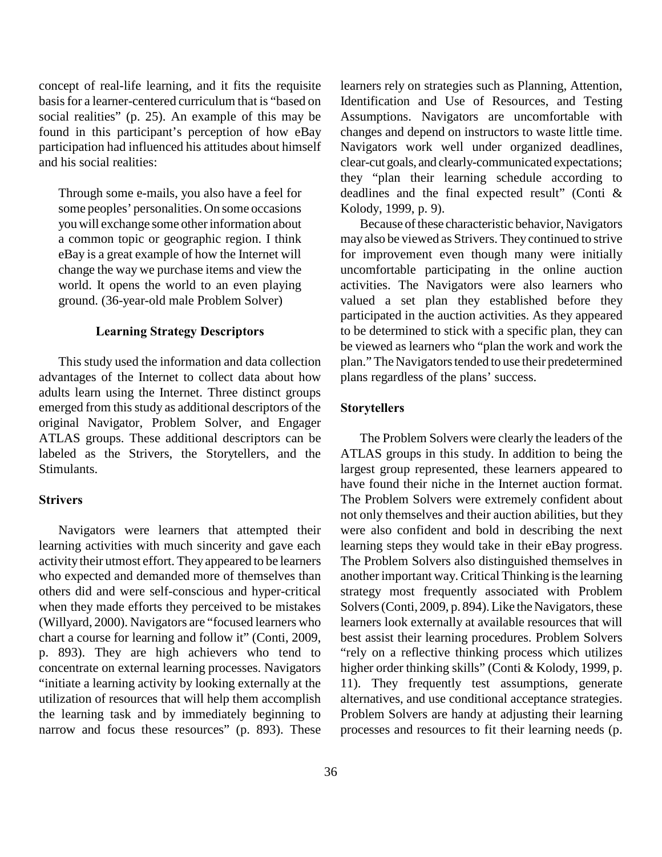concept of real-life learning, and it fits the requisite basis for a learner-centered curriculum that is "based on social realities" (p. 25). An example of this may be found in this participant's perception of how eBay participation had influenced his attitudes about himself and his social realities:

Through some e-mails, you also have a feel for some peoples' personalities. On some occasions you will exchange some other information about a common topic or geographic region. I think eBay is a great example of how the Internet will change the way we purchase items and view the world. It opens the world to an even playing ground. (36-year-old male Problem Solver)

#### **Learning Strategy Descriptors**

This study used the information and data collection advantages of the Internet to collect data about how adults learn using the Internet. Three distinct groups emerged from this study as additional descriptors of the original Navigator, Problem Solver, and Engager ATLAS groups. These additional descriptors can be labeled as the Strivers, the Storytellers, and the Stimulants.

## **Strivers**

Navigators were learners that attempted their learning activities with much sincerity and gave each activity their utmost effort. They appeared to be learners who expected and demanded more of themselves than others did and were self-conscious and hyper-critical when they made efforts they perceived to be mistakes (Willyard, 2000). Navigators are "focused learners who chart a course for learning and follow it" (Conti, 2009, p. 893). They are high achievers who tend to concentrate on external learning processes. Navigators "initiate a learning activity by looking externally at the utilization of resources that will help them accomplish the learning task and by immediately beginning to narrow and focus these resources" (p. 893). These

36

learners rely on strategies such as Planning, Attention, Identification and Use of Resources, and Testing Assumptions. Navigators are uncomfortable with changes and depend on instructors to waste little time. Navigators work well under organized deadlines, clear-cut goals, and clearly-communicated expectations; they "plan their learning schedule according to deadlines and the final expected result" (Conti & Kolody, 1999, p. 9).

Because of these characteristic behavior, Navigators may also be viewed as Strivers. They continued to strive for improvement even though many were initially uncomfortable participating in the online auction activities. The Navigators were also learners who valued a set plan they established before they participated in the auction activities. As they appeared to be determined to stick with a specific plan, they can be viewed as learners who "plan the work and work the plan." The Navigators tended to use their predetermined plans regardless of the plans' success.

#### **Storytellers**

The Problem Solvers were clearly the leaders of the ATLAS groups in this study. In addition to being the largest group represented, these learners appeared to have found their niche in the Internet auction format. The Problem Solvers were extremely confident about not only themselves and their auction abilities, but they were also confident and bold in describing the next learning steps they would take in their eBay progress. The Problem Solvers also distinguished themselves in another important way. Critical Thinking is the learning strategy most frequently associated with Problem Solvers (Conti, 2009, p. 894). Like the Navigators, these learners look externally at available resources that will best assist their learning procedures. Problem Solvers "rely on a reflective thinking process which utilizes higher order thinking skills" (Conti & Kolody, 1999, p. 11). They frequently test assumptions, generate alternatives, and use conditional acceptance strategies. Problem Solvers are handy at adjusting their learning processes and resources to fit their learning needs (p.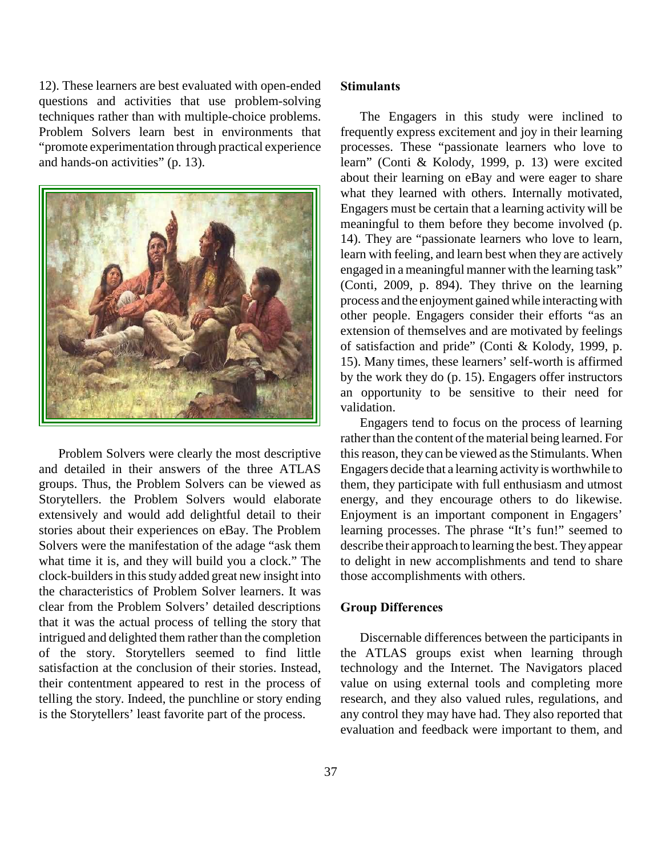12). These learners are best evaluated with open-ended questions and activities that use problem-solving techniques rather than with multiple-choice problems. Problem Solvers learn best in environments that "promote experimentation through practical experience and hands-on activities" (p. 13).



Problem Solvers were clearly the most descriptive and detailed in their answers of the three ATLAS groups. Thus, the Problem Solvers can be viewed as Storytellers. the Problem Solvers would elaborate extensively and would add delightful detail to their stories about their experiences on eBay. The Problem Solvers were the manifestation of the adage "ask them what time it is, and they will build you a clock." The clock-builders in this study added great new insight into the characteristics of Problem Solver learners. It was clear from the Problem Solvers' detailed descriptions that it was the actual process of telling the story that intrigued and delighted them rather than the completion of the story. Storytellers seemed to find little satisfaction at the conclusion of their stories. Instead, their contentment appeared to rest in the process of telling the story. Indeed, the punchline or story ending is the Storytellers' least favorite part of the process.

#### **Stimulants**

The Engagers in this study were inclined to frequently express excitement and joy in their learning processes. These "passionate learners who love to learn" (Conti & Kolody, 1999, p. 13) were excited about their learning on eBay and were eager to share what they learned with others. Internally motivated, Engagers must be certain that a learning activity will be meaningful to them before they become involved (p. 14). They are "passionate learners who love to learn, learn with feeling, and learn best when they are actively engaged in a meaningful manner with the learning task" (Conti, 2009, p. 894). They thrive on the learning process and the enjoyment gained while interacting with other people. Engagers consider their efforts "as an extension of themselves and are motivated by feelings of satisfaction and pride" (Conti & Kolody, 1999, p. 15). Many times, these learners' self-worth is affirmed by the work they do (p. 15). Engagers offer instructors an opportunity to be sensitive to their need for validation.

Engagers tend to focus on the process of learning rather than the content of the material being learned. For this reason, they can be viewed as the Stimulants. When Engagers decide that a learning activity is worthwhile to them, they participate with full enthusiasm and utmost energy, and they encourage others to do likewise. Enjoyment is an important component in Engagers' learning processes. The phrase "It's fun!" seemed to describe their approach to learning the best. They appear to delight in new accomplishments and tend to share those accomplishments with others.

## **Group Differences**

Discernable differences between the participants in the ATLAS groups exist when learning through technology and the Internet. The Navigators placed value on using external tools and completing more research, and they also valued rules, regulations, and any control they may have had. They also reported that evaluation and feedback were important to them, and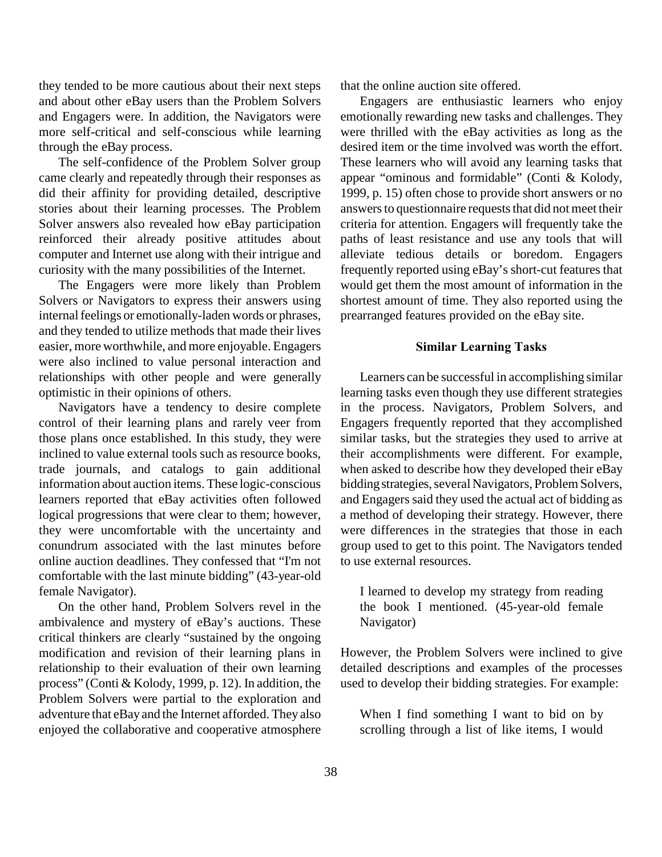they tended to be more cautious about their next steps and about other eBay users than the Problem Solvers and Engagers were. In addition, the Navigators were more self-critical and self-conscious while learning through the eBay process.

The self-confidence of the Problem Solver group came clearly and repeatedly through their responses as did their affinity for providing detailed, descriptive stories about their learning processes. The Problem Solver answers also revealed how eBay participation reinforced their already positive attitudes about computer and Internet use along with their intrigue and curiosity with the many possibilities of the Internet.

The Engagers were more likely than Problem Solvers or Navigators to express their answers using internal feelings or emotionally-laden words or phrases, and they tended to utilize methods that made their lives easier, more worthwhile, and more enjoyable. Engagers were also inclined to value personal interaction and relationships with other people and were generally optimistic in their opinions of others.

Navigators have a tendency to desire complete control of their learning plans and rarely veer from those plans once established. In this study, they were inclined to value external tools such as resource books, trade journals, and catalogs to gain additional information about auction items. These logic-conscious learners reported that eBay activities often followed logical progressions that were clear to them; however, they were uncomfortable with the uncertainty and conundrum associated with the last minutes before online auction deadlines. They confessed that "I'm not comfortable with the last minute bidding" (43-year-old female Navigator).

On the other hand, Problem Solvers revel in the ambivalence and mystery of eBay's auctions. These critical thinkers are clearly "sustained by the ongoing modification and revision of their learning plans in relationship to their evaluation of their own learning process" (Conti & Kolody, 1999, p. 12). In addition, the Problem Solvers were partial to the exploration and adventure that eBay and the Internet afforded. They also enjoyed the collaborative and cooperative atmosphere

that the online auction site offered.

Engagers are enthusiastic learners who enjoy emotionally rewarding new tasks and challenges. They were thrilled with the eBay activities as long as the desired item or the time involved was worth the effort. These learners who will avoid any learning tasks that appear "ominous and formidable" (Conti & Kolody, 1999, p. 15) often chose to provide short answers or no answers to questionnaire requests that did not meet their criteria for attention. Engagers will frequently take the paths of least resistance and use any tools that will alleviate tedious details or boredom. Engagers frequently reported using eBay's short-cut features that would get them the most amount of information in the shortest amount of time. They also reported using the prearranged features provided on the eBay site.

## **Similar Learning Tasks**

Learners can be successful in accomplishing similar learning tasks even though they use different strategies in the process. Navigators, Problem Solvers, and Engagers frequently reported that they accomplished similar tasks, but the strategies they used to arrive at their accomplishments were different. For example, when asked to describe how they developed their eBay bidding strategies, several Navigators, Problem Solvers, and Engagers said they used the actual act of bidding as a method of developing their strategy. However, there were differences in the strategies that those in each group used to get to this point. The Navigators tended to use external resources.

I learned to develop my strategy from reading the book I mentioned. (45-year-old female Navigator)

However, the Problem Solvers were inclined to give detailed descriptions and examples of the processes used to develop their bidding strategies. For example:

When I find something I want to bid on by scrolling through a list of like items, I would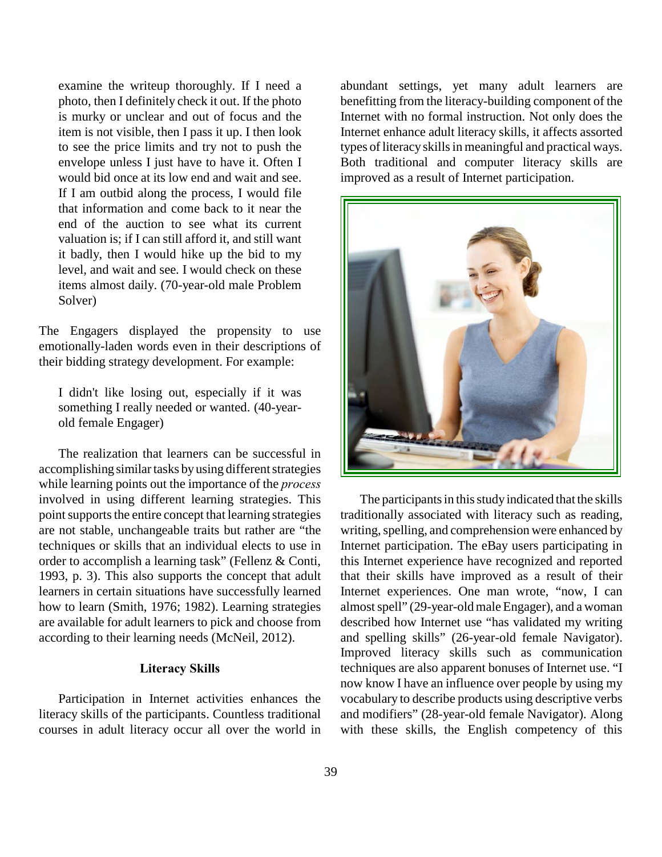examine the writeup thoroughly. If I need a photo, then I definitely check it out. If the photo is murky or unclear and out of focus and the item is not visible, then I pass it up. I then look to see the price limits and try not to push the envelope unless I just have to have it. Often I would bid once at its low end and wait and see. If I am outbid along the process, I would file that information and come back to it near the end of the auction to see what its current valuation is; if I can still afford it, and still want it badly, then I would hike up the bid to my level, and wait and see. I would check on these items almost daily. (70-year-old male Problem Solver)

The Engagers displayed the propensity to use emotionally-laden words even in their descriptions of their bidding strategy development. For example:

I didn't like losing out, especially if it was something I really needed or wanted. (40-yearold female Engager)

The realization that learners can be successful in accomplishing similar tasks by using different strategies while learning points out the importance of the *process* involved in using different learning strategies. This point supports the entire concept that learning strategies are not stable, unchangeable traits but rather are "the techniques or skills that an individual elects to use in order to accomplish a learning task" (Fellenz & Conti, 1993, p. 3). This also supports the concept that adult learners in certain situations have successfully learned how to learn (Smith, 1976; 1982). Learning strategies are available for adult learners to pick and choose from according to their learning needs (McNeil, 2012).

## **Literacy Skills**

Participation in Internet activities enhances the literacy skills of the participants. Countless traditional courses in adult literacy occur all over the world in abundant settings, yet many adult learners are benefitting from the literacy-building component of the Internet with no formal instruction. Not only does the Internet enhance adult literacy skills, it affects assorted types of literacy skills in meaningful and practical ways. Both traditional and computer literacy skills are improved as a result of Internet participation.



The participants in this study indicated that the skills traditionally associated with literacy such as reading, writing, spelling, and comprehension were enhanced by Internet participation. The eBay users participating in this Internet experience have recognized and reported that their skills have improved as a result of their Internet experiences. One man wrote, "now, I can almost spell" (29-year-old male Engager), and a woman described how Internet use "has validated my writing and spelling skills" (26-year-old female Navigator). Improved literacy skills such as communication techniques are also apparent bonuses of Internet use. "I now know I have an influence over people by using my vocabulary to describe products using descriptive verbs and modifiers" (28-year-old female Navigator). Along with these skills, the English competency of this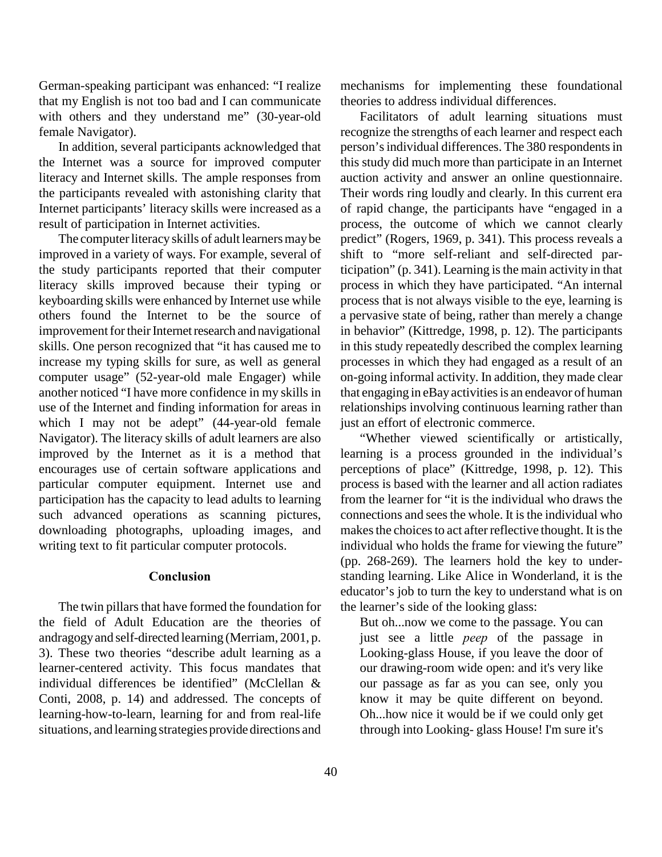German-speaking participant was enhanced: "I realize that my English is not too bad and I can communicate with others and they understand me" (30-year-old female Navigator).

In addition, several participants acknowledged that the Internet was a source for improved computer literacy and Internet skills. The ample responses from the participants revealed with astonishing clarity that Internet participants' literacy skills were increased as a result of participation in Internet activities.

The computer literacy skills of adult learners may be improved in a variety of ways. For example, several of the study participants reported that their computer literacy skills improved because their typing or keyboarding skills were enhanced by Internet use while others found the Internet to be the source of improvement for their Internet research and navigational skills. One person recognized that "it has caused me to increase my typing skills for sure, as well as general computer usage" (52-year-old male Engager) while another noticed "I have more confidence in my skills in use of the Internet and finding information for areas in which I may not be adept" (44-year-old female Navigator). The literacy skills of adult learners are also improved by the Internet as it is a method that encourages use of certain software applications and particular computer equipment. Internet use and participation has the capacity to lead adults to learning such advanced operations as scanning pictures, downloading photographs, uploading images, and writing text to fit particular computer protocols.

## **Conclusion**

The twin pillars that have formed the foundation for the field of Adult Education are the theories of andragogy and self-directed learning (Merriam, 2001, p. 3). These two theories "describe adult learning as a learner-centered activity. This focus mandates that individual differences be identified" (McClellan & Conti, 2008, p. 14) and addressed. The concepts of learning-how-to-learn, learning for and from real-life situations, and learning strategies provide directions and

40

mechanisms for implementing these foundational theories to address individual differences.

Facilitators of adult learning situations must recognize the strengths of each learner and respect each person's individual differences. The 380 respondents in this study did much more than participate in an Internet auction activity and answer an online questionnaire. Their words ring loudly and clearly. In this current era of rapid change, the participants have "engaged in a process, the outcome of which we cannot clearly predict" (Rogers, 1969, p. 341). This process reveals a shift to "more self-reliant and self-directed participation" (p. 341). Learning is the main activity in that process in which they have participated. "An internal process that is not always visible to the eye, learning is a pervasive state of being, rather than merely a change in behavior" (Kittredge, 1998, p. 12). The participants in this study repeatedly described the complex learning processes in which they had engaged as a result of an on-going informal activity. In addition, they made clear that engaging in eBay activities is an endeavor of human relationships involving continuous learning rather than just an effort of electronic commerce.

"Whether viewed scientifically or artistically, learning is a process grounded in the individual's perceptions of place" (Kittredge, 1998, p. 12). This process is based with the learner and all action radiates from the learner for "it is the individual who draws the connections and sees the whole. It is the individual who makes the choices to act after reflective thought. It is the individual who holds the frame for viewing the future" (pp. 268-269). The learners hold the key to understanding learning. Like Alice in Wonderland, it is the educator's job to turn the key to understand what is on the learner's side of the looking glass:

But oh...now we come to the passage. You can just see a little *peep* of the passage in Looking-glass House, if you leave the door of our drawing-room wide open: and it's very like our passage as far as you can see, only you know it may be quite different on beyond. Oh...how nice it would be if we could only get through into Looking- glass House! I'm sure it's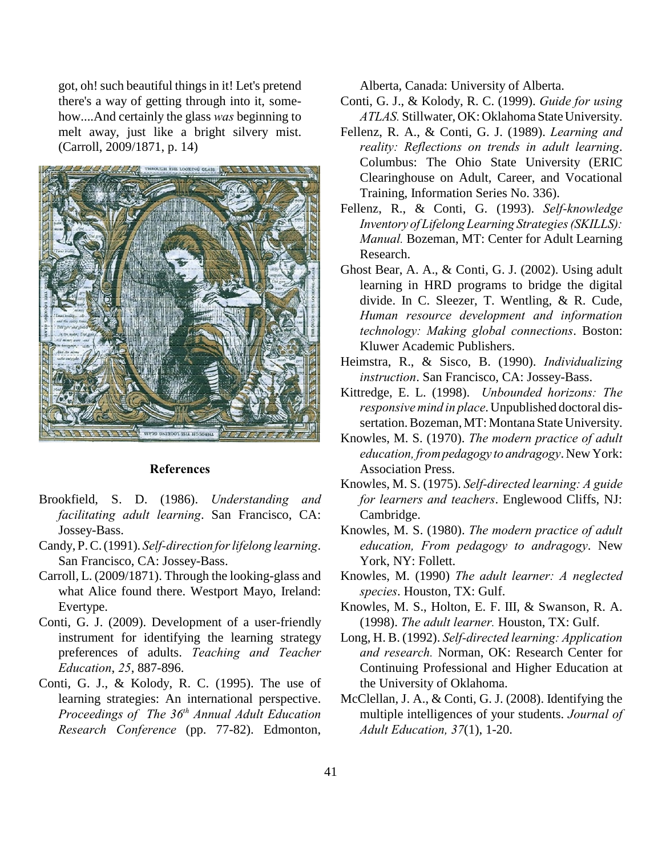got, oh! such beautiful things in it! Let's pretend there's a way of getting through into it, somehow....And certainly the glass *was* beginning to melt away, just like a bright silvery mist. (Carroll, 2009/1871, p. 14)



## **References**

- Brookfield, S. D. (1986). *Understanding and facilitating adult learning*. San Francisco, CA: Jossey-Bass.
- Candy, P. C. (1991). *Self-direction for lifelong learning*. San Francisco, CA: Jossey-Bass.
- Carroll, L. (2009/1871). Through the looking-glass and what Alice found there. Westport Mayo, Ireland: Evertype.
- Conti, G. J. (2009). Development of a user-friendly instrument for identifying the learning strategy preferences of adults. *Teaching and Teacher Education*, *25*, 887-896.
- Conti, G. J., & Kolody, R. C. (1995). The use of learning strategies: An international perspective. *Proceedings of The 36<sup>th</sup> Annual Adult Education Research Conference* (pp. 77-82). Edmonton,

Alberta, Canada: University of Alberta.

- Conti, G. J., & Kolody, R. C. (1999). *Guide for using ATLAS.* Stillwater, OK: Oklahoma State University.
- Fellenz, R. A., & Conti, G. J. (1989). *Learning and reality: Reflections on trends in adult learning*. Columbus: The Ohio State University (ERIC Clearinghouse on Adult, Career, and Vocational Training, Information Series No. 336).
- Fellenz, R., & Conti, G. (1993). *Self-knowledge Inventory of Lifelong Learning Strategies (SKILLS): Manual.* Bozeman, MT: Center for Adult Learning Research.
- Ghost Bear, A. A., & Conti, G. J. (2002). Using adult learning in HRD programs to bridge the digital divide. In C. Sleezer, T. Wentling, & R. Cude, *Human resource development and information technology: Making global connections*. Boston: Kluwer Academic Publishers.
- Heimstra, R., & Sisco, B. (1990). *Individualizing instruction*. San Francisco, CA: Jossey-Bass.
- Kittredge, E. L. (1998). *Unbounded horizons: The responsive mind in place*. Unpublished doctoral dissertation. Bozeman, MT: Montana State University.
- Knowles, M. S. (1970). *The modern practice of adult education, from pedagogy to andragogy*. New York: Association Press.
- Knowles, M. S. (1975). *Self-directed learning: A guide for learners and teachers*. Englewood Cliffs, NJ: Cambridge.
- Knowles, M. S. (1980). *The modern practice of adult education, From pedagogy to andragogy*. New York, NY: Follett.
- Knowles, M. (1990) *The adult learner: A neglected species*. Houston, TX: Gulf.
- Knowles, M. S., Holton, E. F. III, & Swanson, R. A. (1998). *The adult learner.* Houston, TX: Gulf.
- Long, H. B. (1992). *Self-directed learning: Application and research.* Norman, OK: Research Center for Continuing Professional and Higher Education at the University of Oklahoma.
- McClellan, J. A., & Conti, G. J. (2008). Identifying the multiple intelligences of your students. *Journal of Adult Education, 37*(1), 1-20.